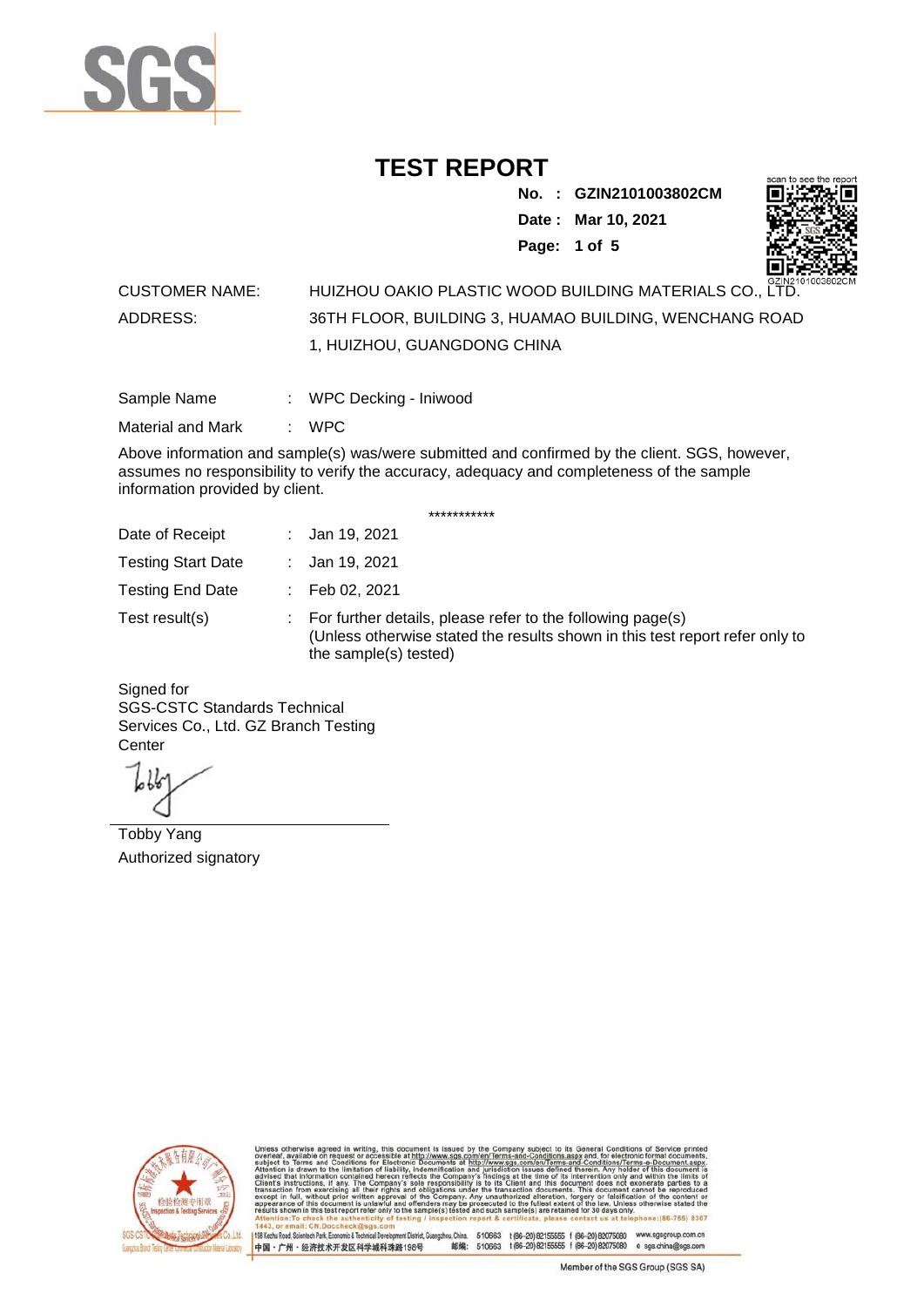

**No. : GZIN2101003802CM Date : Mar 10, 2021 Page: 1 of 5** 



#### CUSTOMER NAME: HUIZHOU OAKIO PLASTIC WOOD BUILDING MATERIALS CO., LTD. ADDRESS: 36TH FLOOR, BUILDING 3, HUAMAO BUILDING, WENCHANG ROAD 1, HUIZHOU, GUANGDONG CHINA

| Sample Name | WPC Decking - Iniwood |  |
|-------------|-----------------------|--|
|             |                       |  |

Material and Mark : WPC

Above information and sample(s) was/were submitted and confirmed by the client. SGS, however, assumes no responsibility to verify the accuracy, adequacy and completeness of the sample information provided by client.

\*\*\*\*\*\*\*\*\*\*\*

| Date of Receipt           | : Jan 19, 2021                                                                                                                                                        |
|---------------------------|-----------------------------------------------------------------------------------------------------------------------------------------------------------------------|
| <b>Testing Start Date</b> | : Jan 19, 2021                                                                                                                                                        |
| <b>Testing End Date</b>   | : Feb 02, 2021                                                                                                                                                        |
| Test result(s)            | : For further details, please refer to the following page(s)<br>(Unless otherwise stated the results shown in this test report refer only to<br>the sample(s) tested) |

Signed for SGS-CSTC Standards Technical Services Co., Ltd. GZ Branch Testing **Center** 

Tobby Yang Authorized signatory



510663 t(86-20) 82155555 f (86-20) 82075080 www.sgsgroup.com.cn<br>510663 t(86-20) 82155555 f (86-20) 82075080 e sgs.china@sgs.com 198 Kezhu Road, Scientech Park, Economic & Technical Devel tou, China. ant District G 邮编: 中国·广州·经济技术开发区科学城科珠路198号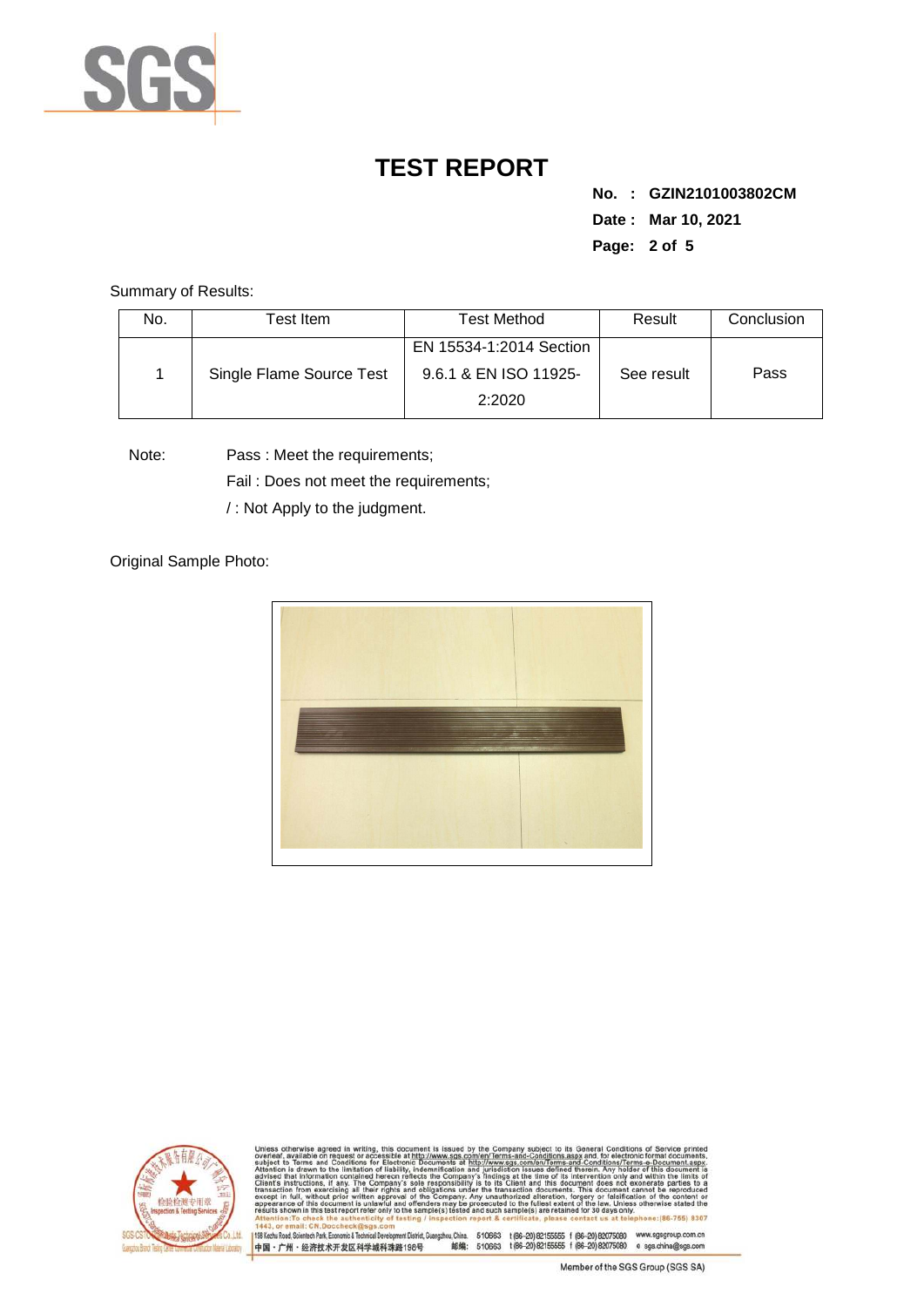

**No. : GZIN2101003802CM Date : Mar 10, 2021 Page: 2 of 5** 

Summary of Results:

| No. | Test Item                | Test Method                                      | Result     | Conclusion |
|-----|--------------------------|--------------------------------------------------|------------|------------|
|     | Single Flame Source Test | EN 15534-1:2014 Section<br>9.6.1 & EN ISO 11925- | See result | Pass       |
|     |                          | 2:2020                                           |            |            |

Note: Pass : Meet the requirements;

Fail : Does not meet the requirements;

/ : Not Apply to the judgment.

Original Sample Photo:





Conditions/Terms-e-Docu<br>rein. Any holder of this d 8307 198 Kezhu Road, Scientech Park, Economic & Technical Develop 中国·广州·经济技术开发区科学城科珠路198号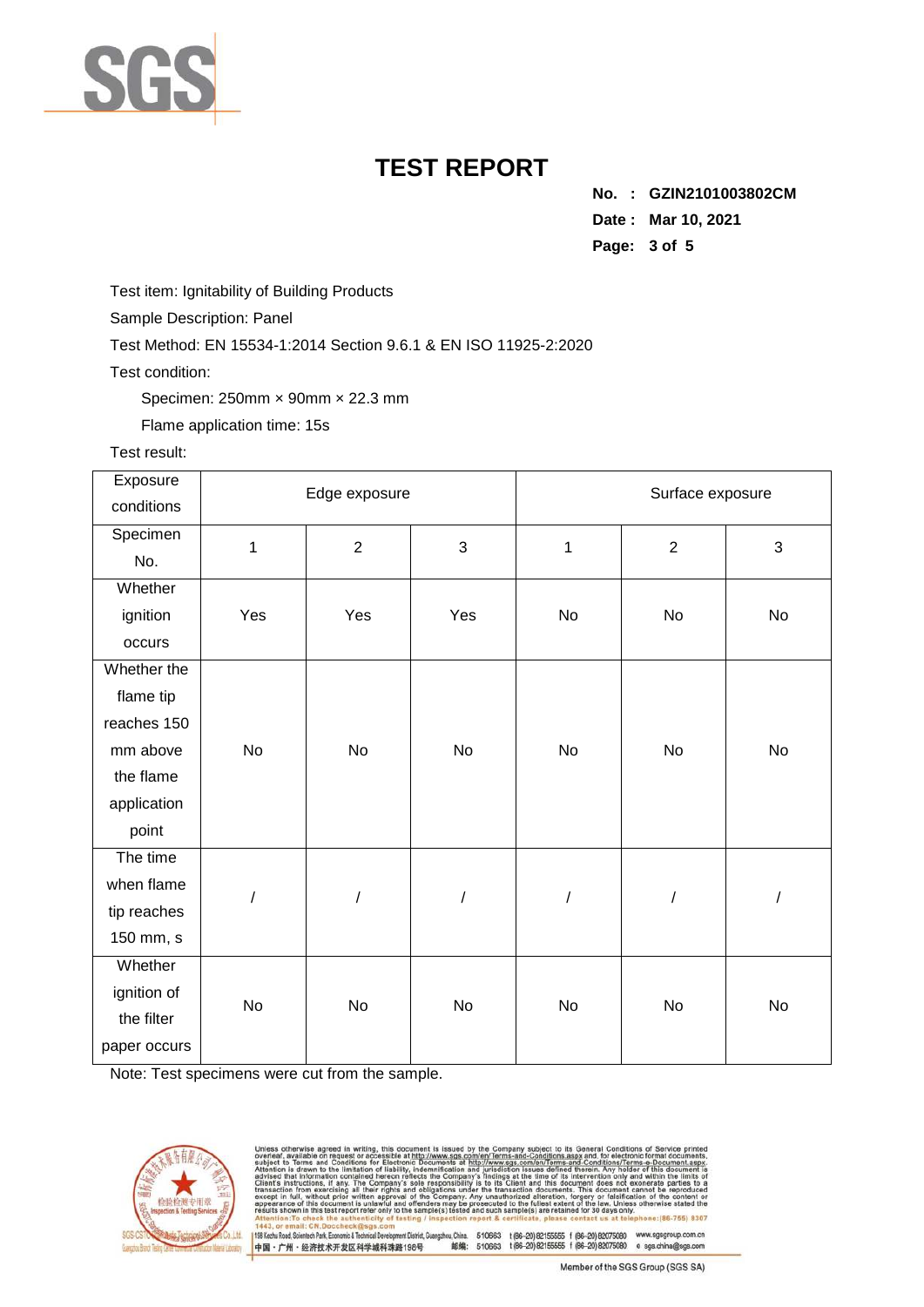

**No. : GZIN2101003802CM Date : Mar 10, 2021 Page: 3 of 5** 

Test item: Ignitability of Building Products

Sample Description: Panel

Test Method: EN 15534-1:2014 Section 9.6.1 & EN ISO 11925-2:2020

Test condition:

Specimen: 250mm × 90mm × 22.3 mm

Flame application time: 15s

#### Test result:

| Exposure     | Edge exposure |                |                      | Surface exposure |                |    |
|--------------|---------------|----------------|----------------------|------------------|----------------|----|
| conditions   |               |                |                      |                  |                |    |
| Specimen     | 1             | $\overline{2}$ | 3                    | $\mathbf{1}$     | $\overline{2}$ | 3  |
| No.          |               |                |                      |                  |                |    |
| Whether      |               |                |                      |                  |                |    |
| ignition     | Yes           | Yes            | Yes                  | No               | No             | No |
| occurs       |               |                |                      |                  |                |    |
| Whether the  |               |                |                      |                  |                |    |
| flame tip    |               |                |                      |                  |                |    |
| reaches 150  |               |                |                      |                  |                |    |
| mm above     | No            | No             | No                   | No               | No             | No |
| the flame    |               |                |                      |                  |                |    |
| application  |               |                |                      |                  |                |    |
| point        |               |                |                      |                  |                |    |
| The time     |               |                |                      |                  |                |    |
| when flame   | $\prime$      |                | $\sqrt{\phantom{a}}$ |                  | $\cal I$       | /  |
| tip reaches  |               |                |                      |                  |                |    |
| 150 mm, s    |               |                |                      |                  |                |    |
| Whether      |               |                |                      |                  |                |    |
| ignition of  | No            | No             | No                   | No               | <b>No</b>      | No |
| the filter   |               |                |                      |                  |                |    |
| paper occurs |               |                |                      |                  |                |    |

Note: Test specimens were cut from the sample.



issued by the state of the state of the state of the fication and s-and-Conditions/Terms-e-Docun<br>ed therein. Any holder of this do only<br>not 830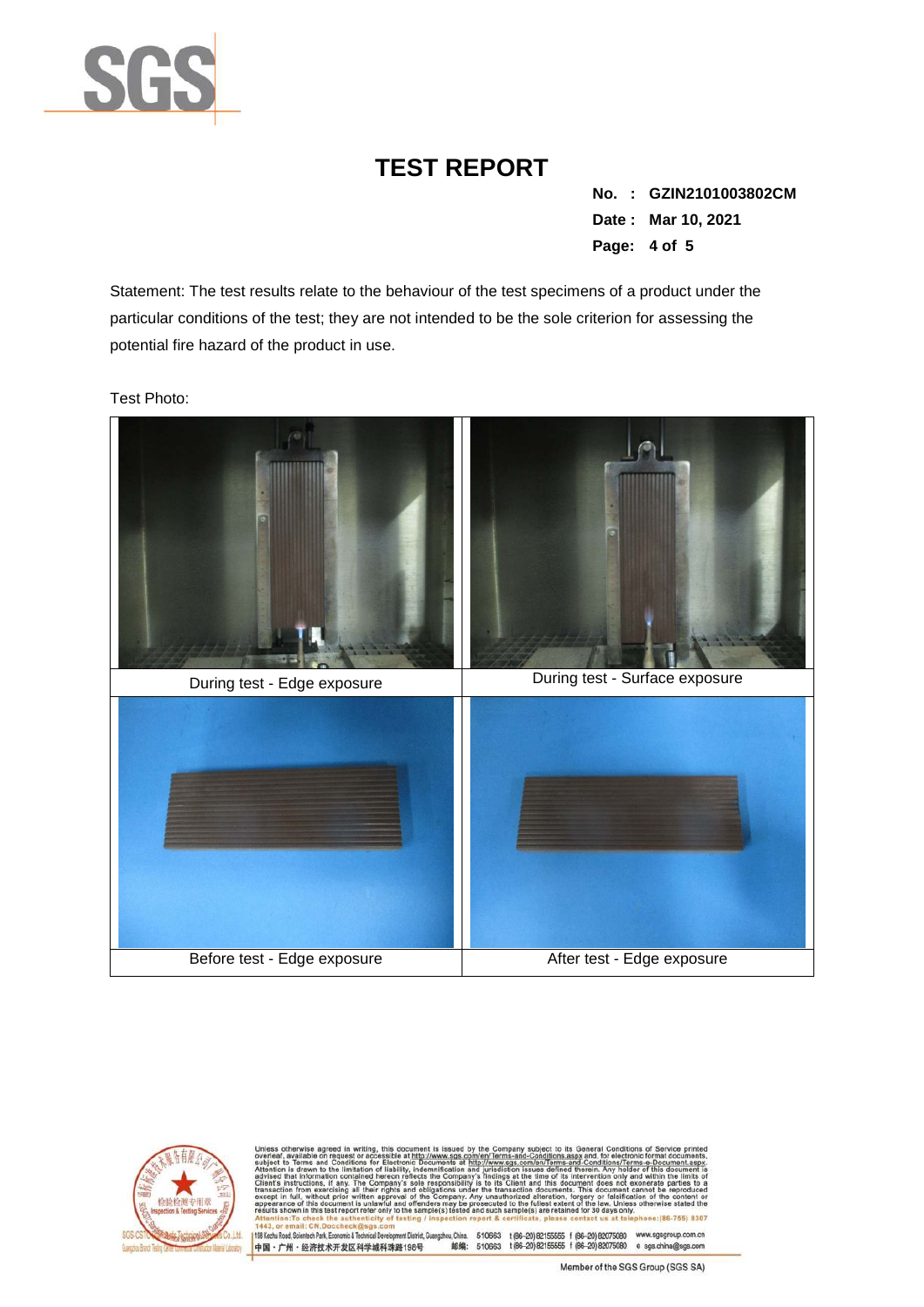

**No. : GZIN2101003802CM Date : Mar 10, 2021 Page: 4 of 5** 

Statement: The test results relate to the behaviour of the test specimens of a product under the particular conditions of the test; they are not intended to be the sole criterion for assessing the potential fire hazard of the product in use.

Test Photo:





Conditions/Terms-e-D<br>rein. Any holder of th angzhou, China. 510663 1 (86-20) 82155555 1 (86-20) 82075080 www.sgsgroup.com.cn<br>邮编: 510663 1 (86-20) 82155555 1 (86-20) 82075080 e sgs.china@sgs.com 198 Kezhu Road, Scientech Park, Economic & Technical Devel ent District, G 中国·广州·经济技术开发区科学城科珠路198号